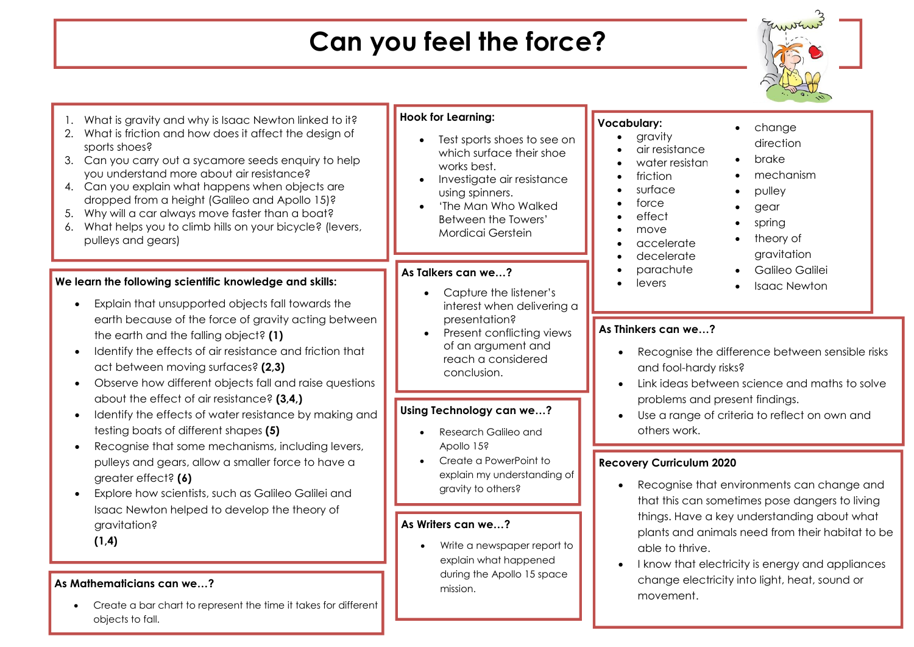## **Can you feel the force?**



| What is gravity and why is Isaac Newton linked to it?<br>What is friction and how does it affect the design of<br>2.<br>sports shoes?<br>3. Can you carry out a sycamore seeds enquiry to help<br>you understand more about air resistance?<br>4. Can you explain what happens when objects are<br>dropped from a height (Galileo and Apollo 15)?<br>Why will a car always move faster than a boat?<br>5.<br>What helps you to climb hills on your bicycle? (levers,<br>6.<br>pulleys and gears)                                                                                                    | <b>Hook for Learning:</b><br>Test sports shoes to see on<br>which surface their shoe<br>works best.<br>Investigate air resistance<br>using spinners.<br>'The Man Who Walked<br><b>Between the Towers'</b><br>Mordicai Gerstein                                                                                                                               | <b>Vocabulary:</b><br>change<br>$\bullet$<br>gravity<br>direction<br>air resistance<br>brake<br>$\bullet$<br>water resistan<br>mechanism<br>friction<br>$\bullet$<br>surface<br>pulley<br>force<br>gear<br>effect<br>spring<br>move<br>theory of<br>accelerate<br>gravitation<br>decelerate |
|-----------------------------------------------------------------------------------------------------------------------------------------------------------------------------------------------------------------------------------------------------------------------------------------------------------------------------------------------------------------------------------------------------------------------------------------------------------------------------------------------------------------------------------------------------------------------------------------------------|--------------------------------------------------------------------------------------------------------------------------------------------------------------------------------------------------------------------------------------------------------------------------------------------------------------------------------------------------------------|---------------------------------------------------------------------------------------------------------------------------------------------------------------------------------------------------------------------------------------------------------------------------------------------|
| We learn the following scientific knowledge and skills:<br>Explain that unsupported objects fall towards the                                                                                                                                                                                                                                                                                                                                                                                                                                                                                        | As Talkers can we?<br>Capture the listener's<br>$\bullet$<br>interest when delivering a                                                                                                                                                                                                                                                                      | parachute<br>Galileo Galilei<br>levers<br><b>Isaac Newton</b><br>$\bullet$                                                                                                                                                                                                                  |
| earth because of the force of gravity acting between<br>the earth and the falling object? (1)<br>Identify the effects of air resistance and friction that<br>act between moving surfaces? (2,3)<br>Observe how different objects fall and raise questions<br>about the effect of air resistance? (3,4,)<br>Identify the effects of water resistance by making and<br>testing boats of different shapes (5)<br>Recognise that some mechanisms, including levers,<br>pulleys and gears, allow a smaller force to have a<br>greater effect? (6)<br>Explore how scientists, such as Galileo Galilei and | presentation?<br>Present conflicting views<br>$\bullet$<br>of an argument and<br>reach a considered<br>conclusion.<br>Using Technology can we?<br>Research Galileo and                                                                                                                                                                                       | As Thinkers can we?<br>Recognise the difference between sensible risks<br>and fool-hardy risks?<br>Link ideas between science and maths to solve<br>problems and present findings.<br>Use a range of criteria to reflect on own and<br>others work.                                         |
|                                                                                                                                                                                                                                                                                                                                                                                                                                                                                                                                                                                                     | Apollo 15?<br>Create a PowerPoint to<br>explain my understanding of<br>gravity to others?                                                                                                                                                                                                                                                                    | <b>Recovery Curriculum 2020</b><br>Recognise that environments can change and<br>that this can sometimes pose dangers to living                                                                                                                                                             |
| Isaac Newton helped to develop the theory of<br>gravitation?<br>(1,4)<br>As Mathematicians can we?<br>Create a bar chart to represent the time it takes for different<br>objects to fall.                                                                                                                                                                                                                                                                                                                                                                                                           | things. Have a key understanding about what<br>As Writers can we?<br>plants and animals need from their habitat to be<br>Write a newspaper report to<br>able to thrive.<br>explain what happened<br>I know that electricity is energy and appliances<br>during the Apollo 15 space<br>change electricity into light, heat, sound or<br>mission.<br>movement. |                                                                                                                                                                                                                                                                                             |